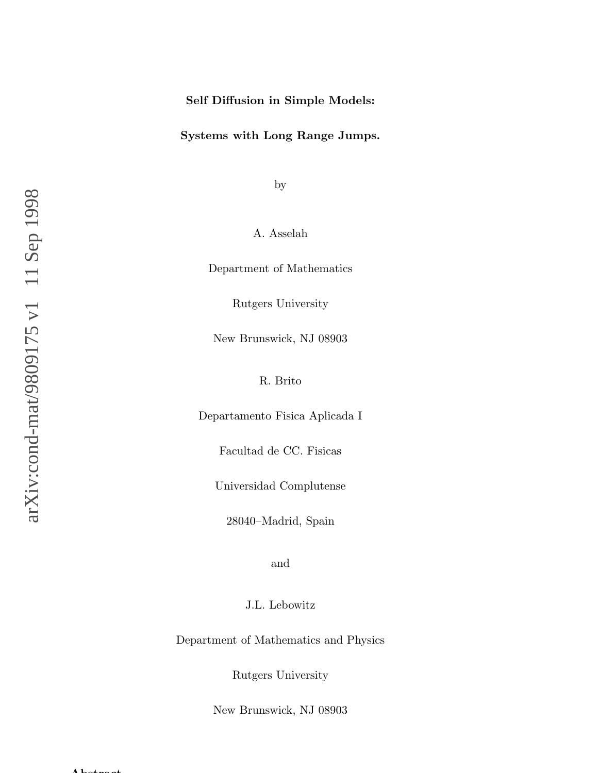# Self Diffusion in Simple Models:

# Systems with Long Range Jumps.

by

A. Asselah

Department of Mathematics

Rutgers University

New Brunswick, NJ 08903

R. Brito

Departamento Fisica Aplicada I

Facultad de CC. Fisicas

Universidad Complutense

28040–Madrid, Spain

and

J.L. Lebowitz

Department of Mathematics and Physics

Rutgers University

New Brunswick, NJ 08903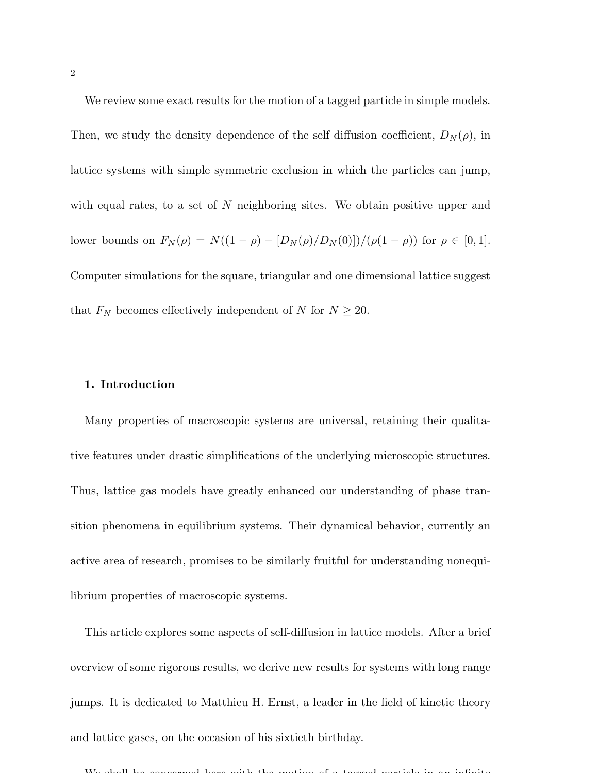We review some exact results for the motion of a tagged particle in simple models.

Then, we study the density dependence of the self diffusion coefficient,  $D_N(\rho)$ , in lattice systems with simple symmetric exclusion in which the particles can jump, with equal rates, to a set of N neighboring sites. We obtain positive upper and lower bounds on  $F_N(\rho) = N((1 - \rho) - [D_N(\rho)/D_N(0)])/(\rho(1 - \rho))$  for  $\rho \in [0, 1]$ . Computer simulations for the square, triangular and one dimensional lattice suggest that  $F_N$  becomes effectively independent of N for  $N \ge 20$ .

# 1. Introduction

Many properties of macroscopic systems are universal, retaining their qualitative features under drastic simplifications of the underlying microscopic structures. Thus, lattice gas models have greatly enhanced our understanding of phase transition phenomena in equilibrium systems. Their dynamical behavior, currently an active area of research, promises to be similarly fruitful for understanding nonequilibrium properties of macroscopic systems.

This article explores some aspects of self-diffusion in lattice models. After a brief overview of some rigorous results, we derive new results for systems with long range jumps. It is dedicated to Matthieu H. Ernst, a leader in the field of kinetic theory and lattice gases, on the occasion of his sixtieth birthday.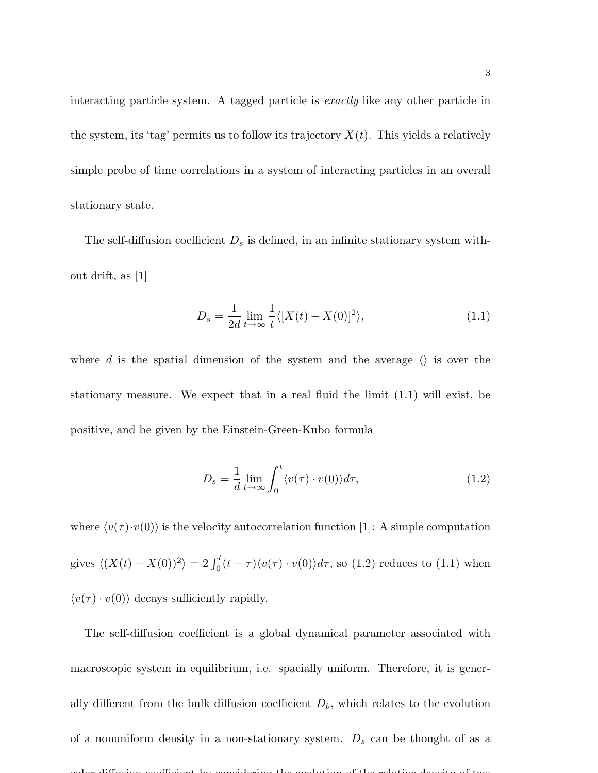interacting particle system. A tagged particle is exactly like any other particle in the system, its 'tag' permits us to follow its trajectory  $X(t)$ . This yields a relatively simple probe of time correlations in a system of interacting particles in an overall stationary state.

The self-diffusion coefficient  $D_s$  is defined, in an infinite stationary system without drift, as [1]

$$
D_s = \frac{1}{2d} \lim_{t \to \infty} \frac{1}{t} \langle [X(t) - X(0)]^2 \rangle,
$$
\n(1.1)

where d is the spatial dimension of the system and the average  $\langle \rangle$  is over the stationary measure. We expect that in a real fluid the limit (1.1) will exist, be positive, and be given by the Einstein-Green-Kubo formula

$$
D_s = \frac{1}{d} \lim_{t \to \infty} \int_0^t \langle v(\tau) \cdot v(0) \rangle d\tau,
$$
\n(1.2)

where  $\langle v(\tau) \cdot v(0) \rangle$  is the velocity autocorrelation function [1]: A simple computation gives  $\langle (X(t) - X(0))^2 \rangle = 2 \int_0^t (t - \tau) \langle v(\tau) \cdot v(0) \rangle d\tau$ , so (1.2) reduces to (1.1) when  $\langle v(\tau) \cdot v(0) \rangle$  decays sufficiently rapidly.

The self-diffusion coefficient is a global dynamical parameter associated with macroscopic system in equilibrium, i.e. spacially uniform. Therefore, it is generally different from the bulk diffusion coefficient  $D<sub>b</sub>$ , which relates to the evolution of a nonuniform density in a non-stationary system.  $D_s$  can be thought of as a color diffusion coefficient by considering the evolution of the relative density of two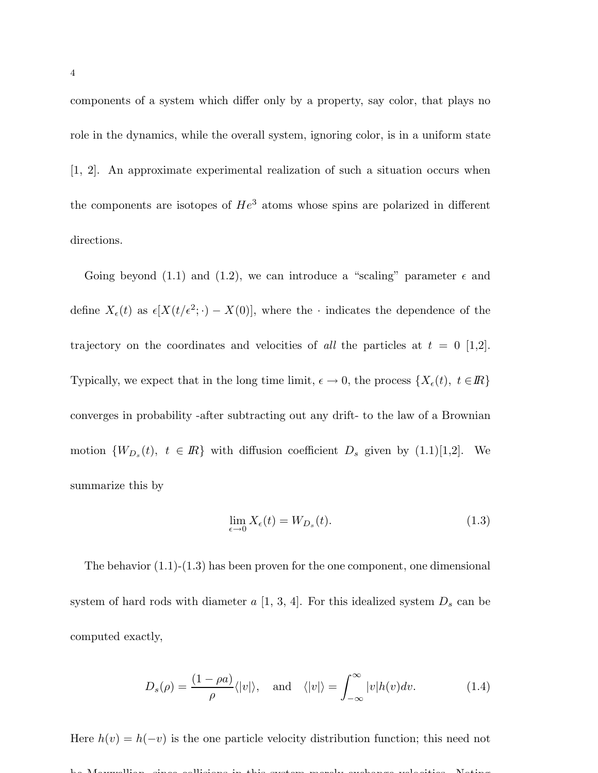components of a system which differ only by a property, say color, that plays no role in the dynamics, while the overall system, ignoring color, is in a uniform state [1, 2]. An approximate experimental realization of such a situation occurs when the components are isotopes of  $He^3$  atoms whose spins are polarized in different directions.

Going beyond (1.1) and (1.2), we can introduce a "scaling" parameter  $\epsilon$  and define  $X_{\epsilon}(t)$  as  $\epsilon[X(t/\epsilon^2; \cdot) - X(0)],$  where the  $\cdot$  indicates the dependence of the trajectory on the coordinates and velocities of all the particles at  $t = 0$  [1,2]. Typically, we expect that in the long time limit,  $\epsilon \to 0$ , the process  $\{X_{\epsilon}(t), t \in \mathbb{R}\}\$ converges in probability -after subtracting out any drift- to the law of a Brownian motion  $\{W_{D_s}(t), t \in \mathbb{R}\}\$  with diffusion coefficient  $D_s$  given by  $(1.1)[1,2]$ . We summarize this by

$$
\lim_{\epsilon \to 0} X_{\epsilon}(t) = W_{D_s}(t). \tag{1.3}
$$

The behavior (1.1)-(1.3) has been proven for the one component, one dimensional system of hard rods with diameter  $a$  [1, 3, 4]. For this idealized system  $D_s$  can be computed exactly,

$$
D_s(\rho) = \frac{(1 - \rho a)}{\rho} \langle |v| \rangle, \text{ and } \langle |v| \rangle = \int_{-\infty}^{\infty} |v| h(v) dv. \tag{1.4}
$$

Here  $h(v) = h(-v)$  is the one particle velocity distribution function; this need not be Maxwellian, since collisions in this system merely exchange velocities. Noting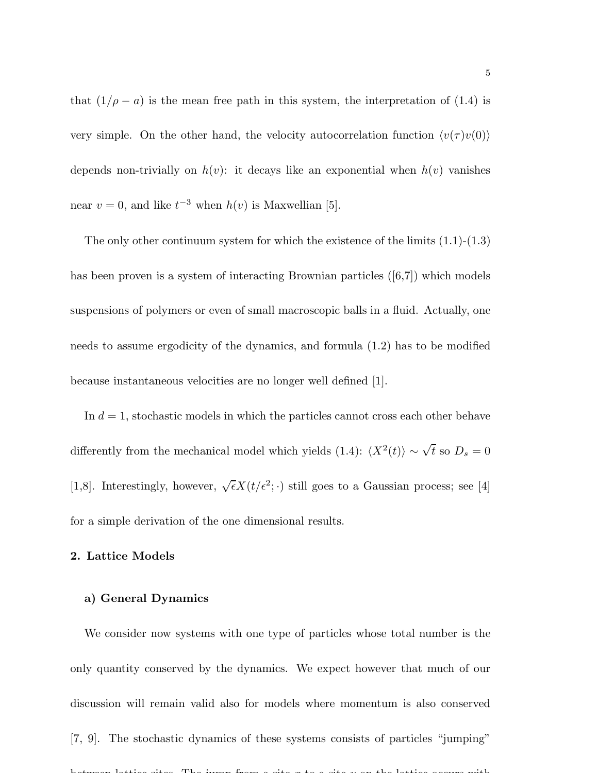that  $(1/\rho - a)$  is the mean free path in this system, the interpretation of (1.4) is very simple. On the other hand, the velocity autocorrelation function  $\langle v(\tau) v(0) \rangle$ depends non-trivially on  $h(v)$ : it decays like an exponential when  $h(v)$  vanishes near  $v = 0$ , and like  $t^{-3}$  when  $h(v)$  is Maxwellian [5].

The only other continuum system for which the existence of the limits  $(1.1)-(1.3)$ has been proven is a system of interacting Brownian particles  $([6,7])$  which models suspensions of polymers or even of small macroscopic balls in a fluid. Actually, one needs to assume ergodicity of the dynamics, and formula (1.2) has to be modified because instantaneous velocities are no longer well defined [1].

In  $d = 1$ , stochastic models in which the particles cannot cross each other behave differently from the mechanical model which yields (1.4):  $\langle X^2(t) \rangle \sim \sqrt{t}$  so  $D_s = 0$ [1,8]. Interestingly, however,  $\sqrt{\epsilon}X(t/\epsilon^2; \cdot)$  still goes to a Gaussian process; see [4] for a simple derivation of the one dimensional results.

## 2. Lattice Models

# a) General Dynamics

We consider now systems with one type of particles whose total number is the only quantity conserved by the dynamics. We expect however that much of our discussion will remain valid also for models where momentum is also conserved [7, 9]. The stochastic dynamics of these systems consists of particles "jumping" between lattice sites. The jump from a site x to a site y on the lattice occurs with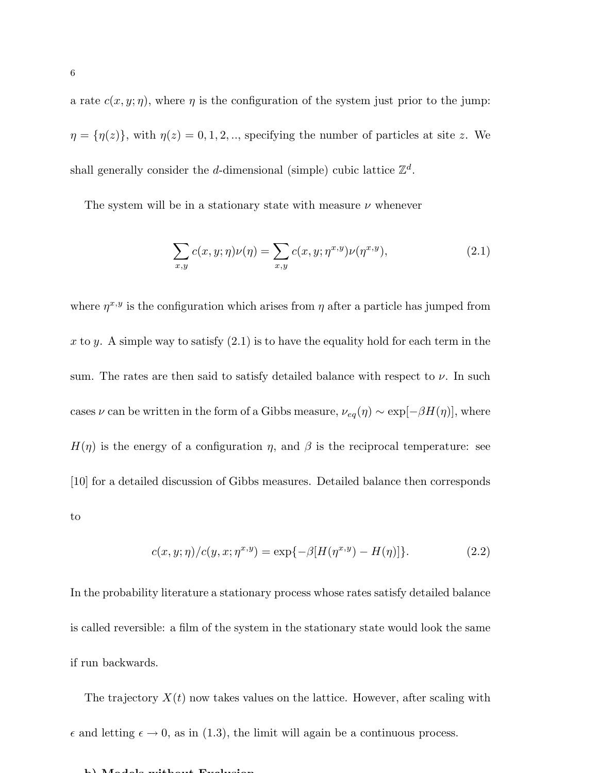a rate  $c(x, y; \eta)$ , where  $\eta$  is the configuration of the system just prior to the jump:  $\eta = {\eta(z)}$ , with  $\eta(z) = 0, 1, 2, \dots$ , specifying the number of particles at site z. We shall generally consider the *d*-dimensional (simple) cubic lattice  $\mathbb{Z}^d$ .

The system will be in a stationary state with measure  $\nu$  whenever

$$
\sum_{x,y} c(x,y;\eta)\nu(\eta) = \sum_{x,y} c(x,y;\eta^{x,y})\nu(\eta^{x,y}),
$$
\n(2.1)

where  $\eta^{x,y}$  is the configuration which arises from  $\eta$  after a particle has jumped from x to y. A simple way to satisfy  $(2.1)$  is to have the equality hold for each term in the sum. The rates are then said to satisfy detailed balance with respect to  $\nu$ . In such cases  $\nu$  can be written in the form of a Gibbs measure,  $\nu_{eq}(\eta) \sim \exp[-\beta H(\eta)]$ , where  $H(\eta)$  is the energy of a configuration  $\eta$ , and  $\beta$  is the reciprocal temperature: see [10] for a detailed discussion of Gibbs measures. Detailed balance then corresponds to

$$
c(x, y; \eta) / c(y, x; \eta^{x, y}) = \exp\{-\beta [H(\eta^{x, y}) - H(\eta)]\}.
$$
 (2.2)

In the probability literature a stationary process whose rates satisfy detailed balance is called reversible: a film of the system in the stationary state would look the same if run backwards.

The trajectory  $X(t)$  now takes values on the lattice. However, after scaling with  $\epsilon$  and letting  $\epsilon \to 0$ , as in (1.3), the limit will again be a continuous process.

#### $\mathbf{M}$  and  $\mathbf{M}$  and  $\mathbf{M}$  and  $\mathbf{M}$  and  $\mathbf{M}$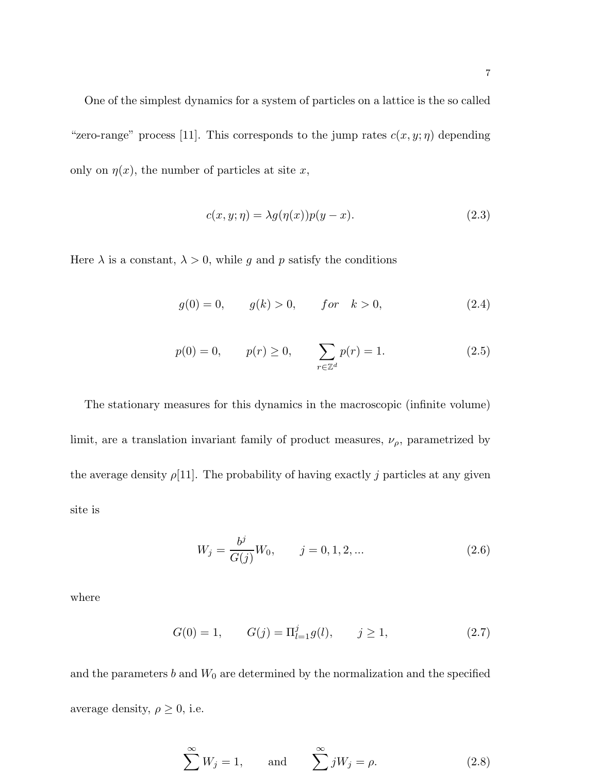One of the simplest dynamics for a system of particles on a lattice is the so called "zero-range" process [11]. This corresponds to the jump rates  $c(x, y; \eta)$  depending only on  $\eta(x)$ , the number of particles at site x,

$$
c(x, y; \eta) = \lambda g(\eta(x))p(y - x). \tag{2.3}
$$

Here  $\lambda$  is a constant,  $\lambda > 0$ , while g and p satisfy the conditions

$$
g(0) = 0, \t g(k) > 0, \t for \t k > 0,
$$
\t(2.4)

$$
p(0) = 0,
$$
  $p(r) \ge 0,$   $\sum_{r \in \mathbb{Z}^d} p(r) = 1.$  (2.5)

The stationary measures for this dynamics in the macroscopic (infinite volume) limit, are a translation invariant family of product measures,  $\nu_{\rho}$ , parametrized by the average density  $\rho$ [11]. The probability of having exactly j particles at any given site is

$$
W_j = \frac{b^j}{G(j)}W_0, \qquad j = 0, 1, 2, \dots
$$
\n(2.6)

where

$$
G(0) = 1, \t G(j) = \Pi_{l=1}^{j} g(l), \t j \ge 1,
$$
\t(2.7)

and the parameters  $b$  and  $W_0$  are determined by the normalization and the specified average density,  $\rho \geq 0$ , i.e.

$$
\sum^{\infty} W_j = 1, \quad \text{and} \quad \sum^{\infty} j W_j = \rho. \tag{2.8}
$$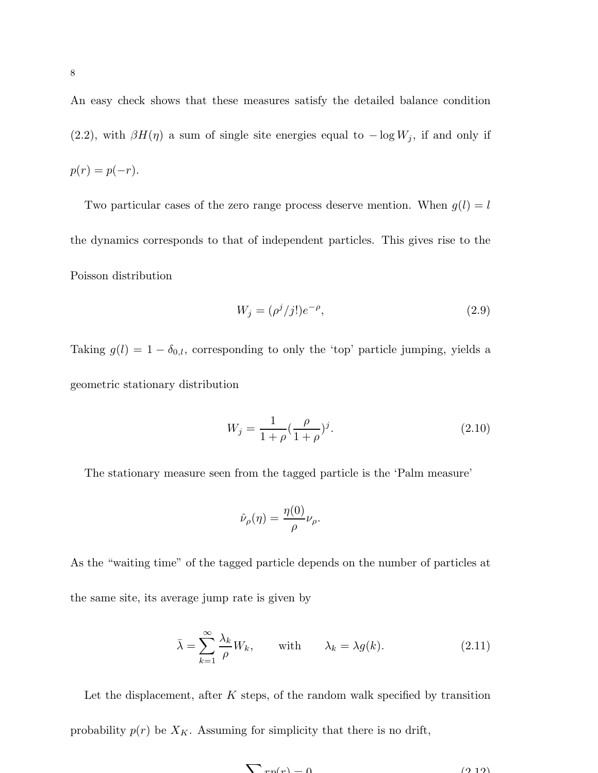An easy check shows that these measures satisfy the detailed balance condition (2.2), with  $\beta H(\eta)$  a sum of single site energies equal to  $-\log W_j$ , if and only if  $p(r) = p(-r)$ .

Two particular cases of the zero range process deserve mention. When  $g(l) = l$ the dynamics corresponds to that of independent particles. This gives rise to the Poisson distribution

$$
W_j = (\rho^j / j!) e^{-\rho}, \tag{2.9}
$$

Taking  $g(l) = 1 - \delta_{0,l}$ , corresponding to only the 'top' particle jumping, yields a geometric stationary distribution

$$
W_j = \frac{1}{1+\rho} (\frac{\rho}{1+\rho})^j.
$$
\n(2.10)

The stationary measure seen from the tagged particle is the 'Palm measure'

$$
\hat{\nu}_{\rho}(\eta) = \frac{\eta(0)}{\rho} \nu_{\rho}.
$$

As the "waiting time" of the tagged particle depends on the number of particles at the same site, its average jump rate is given by

$$
\bar{\lambda} = \sum_{k=1}^{\infty} \frac{\lambda_k}{\rho} W_k, \quad \text{with} \quad \lambda_k = \lambda g(k). \tag{2.11}
$$

Let the displacement, after  $K$  steps, of the random walk specified by transition probability  $p(r)$  be  $X_K$ . Assuming for simplicity that there is no drift,

$$
\sum r_n(r) = 0 \tag{9.19}
$$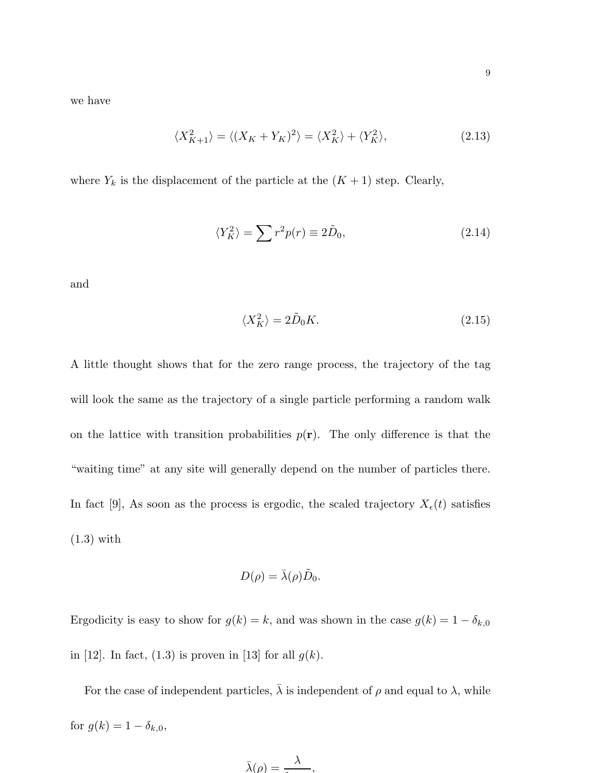we have

$$
\langle X_{K+1}^2 \rangle = \langle (X_K + Y_K)^2 \rangle = \langle X_K^2 \rangle + \langle Y_K^2 \rangle, \tag{2.13}
$$

where  $Y_k$  is the displacement of the particle at the  $(K + 1)$  step. Clearly,

$$
\langle Y_K^2 \rangle = \sum r^2 p(r) \equiv 2\tilde{D}_0,\tag{2.14}
$$

and

$$
\langle X_K^2 \rangle = 2\tilde{D}_0 K. \tag{2.15}
$$

A little thought shows that for the zero range process, the trajectory of the tag will look the same as the trajectory of a single particle performing a random walk on the lattice with transition probabilities  $p(\mathbf{r})$ . The only difference is that the "waiting time" at any site will generally depend on the number of particles there. In fact [9], As soon as the process is ergodic, the scaled trajectory  $X_{\epsilon}(t)$  satisfies (1.3) with

$$
D(\rho) = \bar{\lambda}(\rho)\tilde{D}_0.
$$

Ergodicity is easy to show for  $g(k) = k$ , and was shown in the case  $g(k) = 1 - \delta_{k,0}$ in [12]. In fact, (1.3) is proven in [13] for all  $g(k)$ .

For the case of independent particles,  $\bar{\lambda}$  is independent of  $\rho$  and equal to  $\lambda$ , while for  $g(k) = 1 - \delta_{k,0}$ ,

$$
\bar{\lambda}(\rho) = \frac{\lambda}{\cdot \cdot \cdot},
$$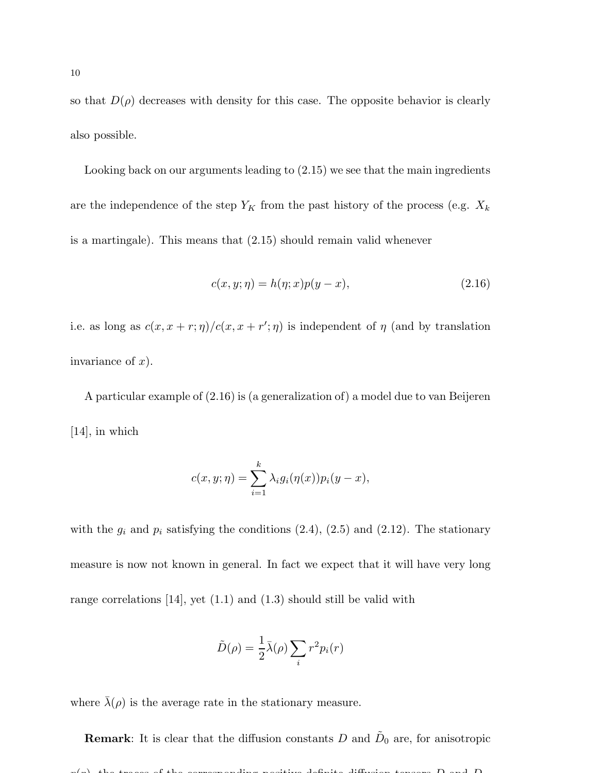so that  $D(\rho)$  decreases with density for this case. The opposite behavior is clearly also possible.

Looking back on our arguments leading to (2.15) we see that the main ingredients are the independence of the step  $Y_K$  from the past history of the process (e.g.  $X_k$ is a martingale). This means that (2.15) should remain valid whenever

$$
c(x, y; \eta) = h(\eta; x)p(y - x), \qquad (2.16)
$$

i.e. as long as  $c(x, x + r; \eta)/c(x, x + r'; \eta)$  is independent of  $\eta$  (and by translation invariance of  $x$ ).

A particular example of (2.16) is (a generalization of) a model due to van Beijeren [14], in which

$$
c(x, y; \eta) = \sum_{i=1}^{k} \lambda_i g_i(\eta(x)) p_i(y - x),
$$

with the  $g_i$  and  $p_i$  satisfying the conditions  $(2.4)$ ,  $(2.5)$  and  $(2.12)$ . The stationary measure is now not known in general. In fact we expect that it will have very long range correlations  $[14]$ , yet  $(1.1)$  and  $(1.3)$  should still be valid with

$$
\tilde{D}(\rho) = \frac{1}{2}\bar{\lambda}(\rho) \sum_{i} r^{2} p_{i}(r)
$$

where  $\bar{\lambda}(\rho)$  is the average rate in the stationary measure.

**Remark**: It is clear that the diffusion constants D and  $D_0$  are, for anisotropic  $p(x)$ , the traces of the corresponding positive-definite diffusion tensors D and D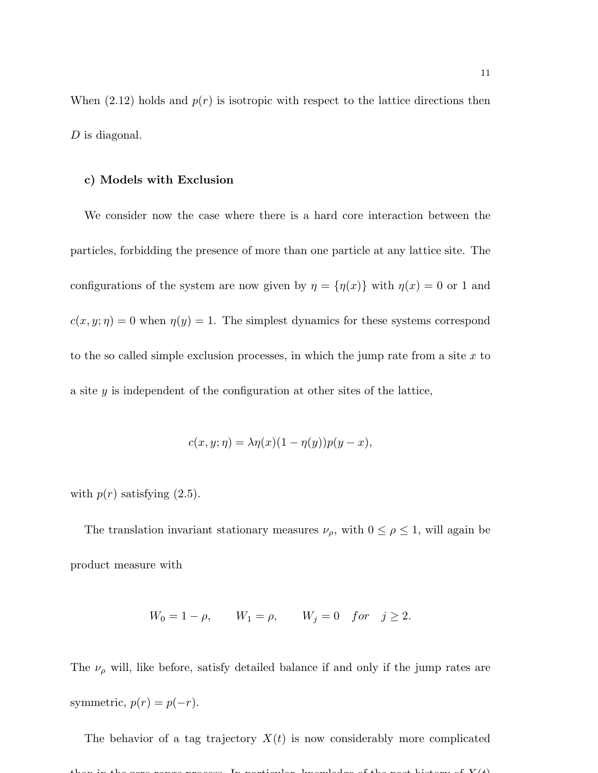When  $(2.12)$  holds and  $p(r)$  is isotropic with respect to the lattice directions then D is diagonal.

### c) Models with Exclusion

We consider now the case where there is a hard core interaction between the particles, forbidding the presence of more than one particle at any lattice site. The configurations of the system are now given by  $\eta = {\eta(x)}$  with  $\eta(x) = 0$  or 1 and  $c(x, y; \eta) = 0$  when  $\eta(y) = 1$ . The simplest dynamics for these systems correspond to the so called simple exclusion processes, in which the jump rate from a site  $x$  to a site y is independent of the configuration at other sites of the lattice,

$$
c(x, y; \eta) = \lambda \eta(x) (1 - \eta(y)) p(y - x),
$$

with  $p(r)$  satisfying  $(2.5)$ .

The translation invariant stationary measures  $\nu_{\rho}$ , with  $0 \leq \rho \leq 1$ , will again be product measure with

$$
W_0 = 1 - \rho
$$
,  $W_1 = \rho$ ,  $W_j = 0$  for  $j \ge 2$ .

The  $\nu_{\rho}$  will, like before, satisfy detailed balance if and only if the jump rates are symmetric,  $p(r) = p(-r)$ .

The behavior of a tag trajectory  $X(t)$  is now considerably more complicated than in the zero range process. In particular, knowledge of the past history of  $V(t)$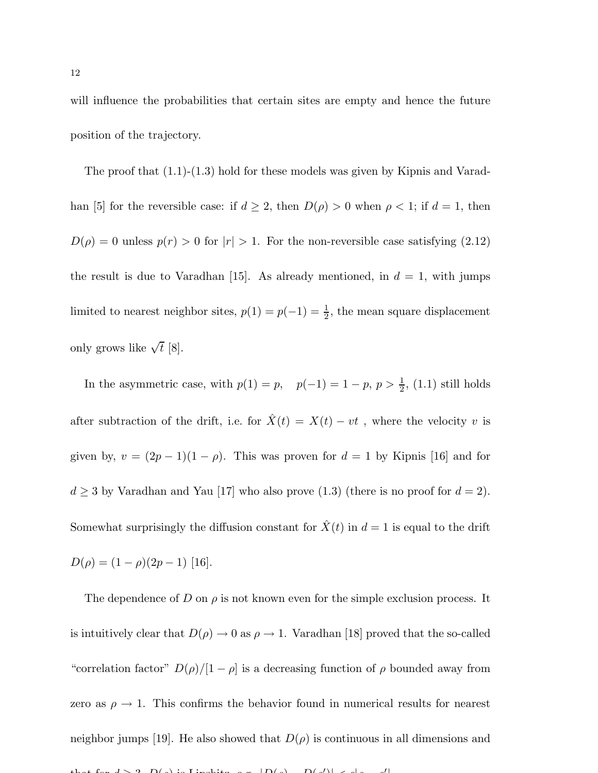will influence the probabilities that certain sites are empty and hence the future position of the trajectory.

The proof that (1.1)-(1.3) hold for these models was given by Kipnis and Varadhan [5] for the reversible case: if  $d \geq 2$ , then  $D(\rho) > 0$  when  $\rho < 1$ ; if  $d = 1$ , then  $D(\rho) = 0$  unless  $p(r) > 0$  for  $|r| > 1$ . For the non-reversible case satisfying (2.12) the result is due to Varadhan [15]. As already mentioned, in  $d = 1$ , with jumps limited to nearest neighbor sites,  $p(1) = p(-1) = \frac{1}{2}$ , the mean square displacement only grows like  $\sqrt{t}$  [8].

In the asymmetric case, with  $p(1) = p$ ,  $p(-1) = 1 - p$ ,  $p > \frac{1}{2}$ , (1.1) still holds after subtraction of the drift, i.e. for  $\hat{X}(t) = X(t) - vt$ , where the velocity v is given by,  $v = (2p - 1)(1 - \rho)$ . This was proven for  $d = 1$  by Kipnis [16] and for  $d \geq 3$  by Varadhan and Yau [17] who also prove (1.3) (there is no proof for  $d = 2$ ). Somewhat surprisingly the diffusion constant for  $\hat{X}(t)$  in  $d = 1$  is equal to the drift  $D(\rho) = (1 - \rho)(2p - 1)$  [16].

The dependence of D on  $\rho$  is not known even for the simple exclusion process. It is intuitively clear that  $D(\rho) \to 0$  as  $\rho \to 1$ . Varadhan [18] proved that the so-called "correlation factor"  $D(\rho)/[1-\rho]$  is a decreasing function of  $\rho$  bounded away from zero as  $\rho \rightarrow 1$ . This confirms the behavior found in numerical results for nearest neighbor jumps [19]. He also showed that  $D(\rho)$  is continuous in all dimensions and that for  $d > 3$ ,  $D(s)$  is Lipshitz, e.g.  $|D(s) - D(s')| < \epsilon |s|$ ′ |.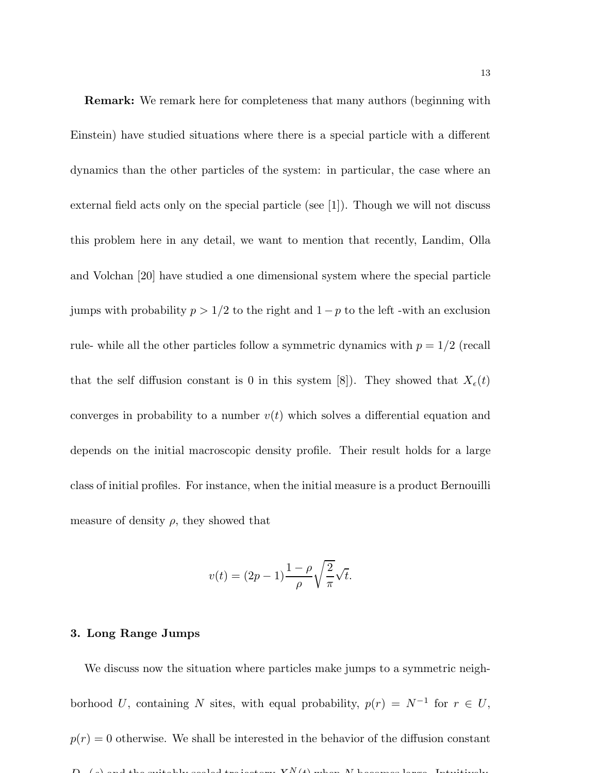Remark: We remark here for completeness that many authors (beginning with Einstein) have studied situations where there is a special particle with a different dynamics than the other particles of the system: in particular, the case where an external field acts only on the special particle (see  $|1|$ ). Though we will not discuss this problem here in any detail, we want to mention that recently, Landim, Olla and Volchan [20] have studied a one dimensional system where the special particle jumps with probability  $p > 1/2$  to the right and  $1 - p$  to the left -with an exclusion rule- while all the other particles follow a symmetric dynamics with  $p = 1/2$  (recall that the self diffusion constant is 0 in this system [8]). They showed that  $X_{\epsilon}(t)$ converges in probability to a number  $v(t)$  which solves a differential equation and depends on the initial macroscopic density profile. Their result holds for a large class of initial profiles. For instance, when the initial measure is a product Bernouilli measure of density  $\rho$ , they showed that

$$
v(t) = (2p - 1)\frac{1 - \rho}{\rho} \sqrt{\frac{2}{\pi}} \sqrt{t}.
$$

# 3. Long Range Jumps

We discuss now the situation where particles make jumps to a symmetric neighborhood U, containing N sites, with equal probability,  $p(r) = N^{-1}$  for  $r \in U$ ,  $p(r) = 0$  otherwise. We shall be interested in the behavior of the diffusion constant  $\mathbf{v} \cdot \mathbf{v} = \mathbf{v} \cdot \mathbf{v}$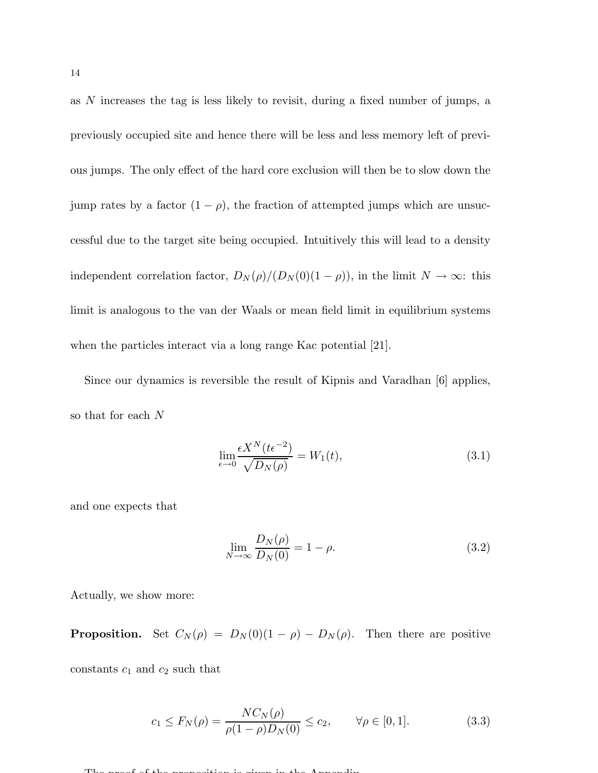as N increases the tag is less likely to revisit, during a fixed number of jumps, a previously occupied site and hence there will be less and less memory left of previous jumps. The only effect of the hard core exclusion will then be to slow down the jump rates by a factor  $(1 - \rho)$ , the fraction of attempted jumps which are unsuccessful due to the target site being occupied. Intuitively this will lead to a density independent correlation factor,  $D_N(\rho)/(D_N(0)(1-\rho))$ , in the limit  $N \to \infty$ : this limit is analogous to the van der Waals or mean field limit in equilibrium systems when the particles interact via a long range Kac potential [21].

Since our dynamics is reversible the result of Kipnis and Varadhan [6] applies, so that for each N

$$
\lim_{\epsilon \to 0} \frac{\epsilon X^N(t \epsilon^{-2})}{\sqrt{D_N(\rho)}} = W_1(t),\tag{3.1}
$$

and one expects that

$$
\lim_{N \to \infty} \frac{D_N(\rho)}{D_N(0)} = 1 - \rho.
$$
\n(3.2)

Actually, we show more:

**Proposition.** Set  $C_N(\rho) = D_N(0)(1 - \rho) - D_N(\rho)$ . Then there are positive

constants  $c_1$  and  $c_2$  such that

$$
c_1 \le F_N(\rho) = \frac{NC_N(\rho)}{\rho(1-\rho)D_N(0)} \le c_2, \qquad \forall \rho \in [0,1].
$$
 (3.3)

The proposition is given in the proposition in the  $A$  p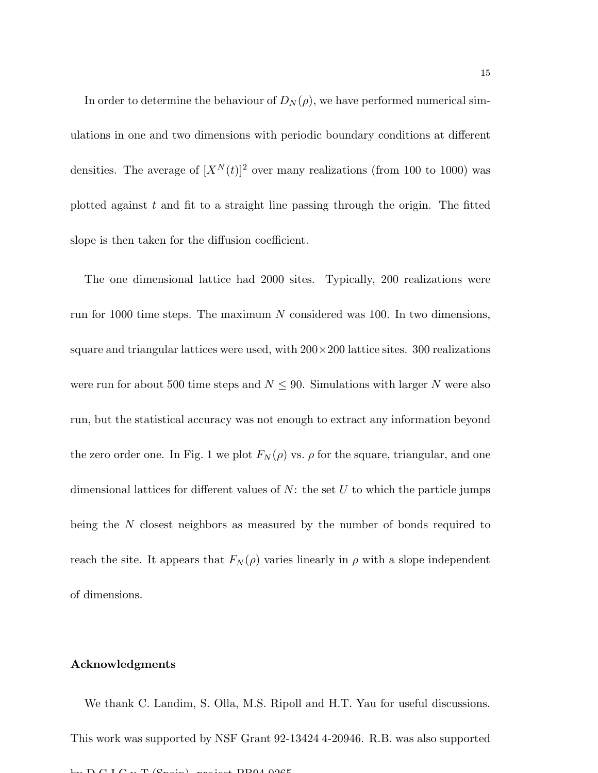In order to determine the behaviour of  $D_N(\rho)$ , we have performed numerical simulations in one and two dimensions with periodic boundary conditions at different densities. The average of  $[X^N(t)]^2$  over many realizations (from 100 to 1000) was plotted against  $t$  and fit to a straight line passing through the origin. The fitted slope is then taken for the diffusion coefficient.

The one dimensional lattice had 2000 sites. Typically, 200 realizations were run for 1000 time steps. The maximum N considered was 100. In two dimensions, square and triangular lattices were used, with  $200 \times 200$  lattice sites. 300 realizations were run for about 500 time steps and  $N \leq 90$ . Simulations with larger N were also run, but the statistical accuracy was not enough to extract any information beyond the zero order one. In Fig. 1 we plot  $F_N(\rho)$  vs.  $\rho$  for the square, triangular, and one dimensional lattices for different values of  $N$ : the set  $U$  to which the particle jumps being the N closest neighbors as measured by the number of bonds required to reach the site. It appears that  $F_N(\rho)$  varies linearly in  $\rho$  with a slope independent of dimensions.

# Acknowledgments

We thank C. Landim, S. Olla, M.S. Ripoll and H.T. Yau for useful discussions. This work was supported by NSF Grant 92-13424 4-20946. R.B. was also supported by  $D \cap I \cap Y$   $T$  (Spain), project PB04-0265.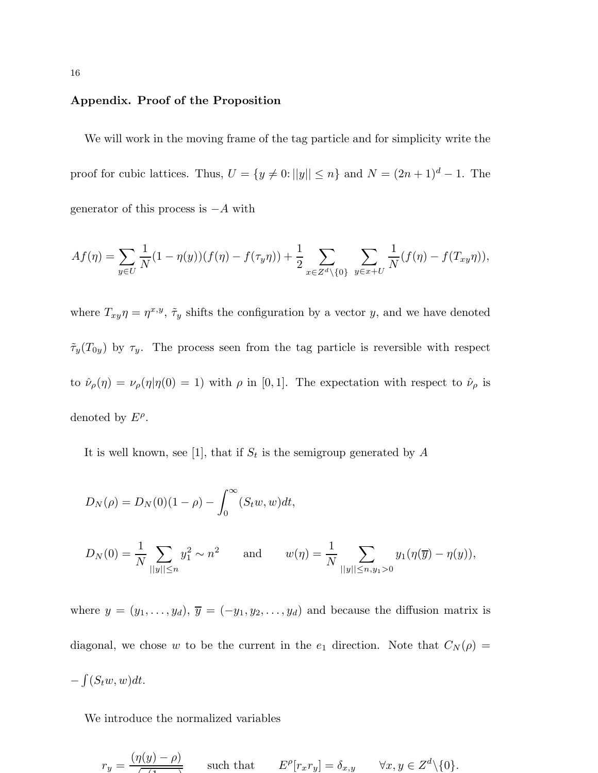## Appendix. Proof of the Proposition

We will work in the moving frame of the tag particle and for simplicity write the proof for cubic lattices. Thus,  $U = \{y \neq 0: ||y|| \leq n\}$  and  $N = (2n + 1)^d - 1$ . The generator of this process is  $-A$  with

$$
Af(\eta) = \sum_{y \in U} \frac{1}{N} (1 - \eta(y))(f(\eta) - f(\tau_y \eta)) + \frac{1}{2} \sum_{x \in Z^d \setminus \{0\}} \sum_{y \in x + U} \frac{1}{N} (f(\eta) - f(T_{xy} \eta)),
$$

where  $T_{xy}\eta = \eta^{x,y}, \tilde{\tau}_y$  shifts the configuration by a vector y, and we have denoted  $\tilde{\tau}_y(T_{0y})$  by  $\tau_y$ . The process seen from the tag particle is reversible with respect to  $\hat{\nu}_{\rho}(\eta) = \nu_{\rho}(\eta | \eta(0) = 1)$  with  $\rho$  in [0, 1]. The expectation with respect to  $\hat{\nu}_{\rho}$  is denoted by  $E^{\rho}$ .

It is well known, see [1], that if  $S_t$  is the semigroup generated by A

$$
D_N(\rho) = D_N(0)(1 - \rho) - \int_0^\infty (S_t w, w) dt,
$$
  

$$
D_N(0) = \frac{1}{N} \sum_{\|y\| \le n} y_1^2 \sim n^2 \quad \text{and} \quad w(\eta) = \frac{1}{N} \sum_{\|y\| \le n, y_1 > 0} y_1(\eta(\overline{y}) - \eta(y)),
$$

where  $y = (y_1, \ldots, y_d)$ ,  $\overline{y} = (-y_1, y_2, \ldots, y_d)$  and because the diffusion matrix is diagonal, we chose w to be the current in the  $e_1$  direction. Note that  $C_N(\rho)$  =  $-\int (S_t w, w) dt$ .

We introduce the normalized variables

$$
r_y = \frac{(\eta(y) - \rho)}{\sqrt{1 - \rho^2}} \quad \text{such that} \quad E^{\rho}[r_x r_y] = \delta_{x,y} \quad \forall x, y \in Z^d \setminus \{0\}.
$$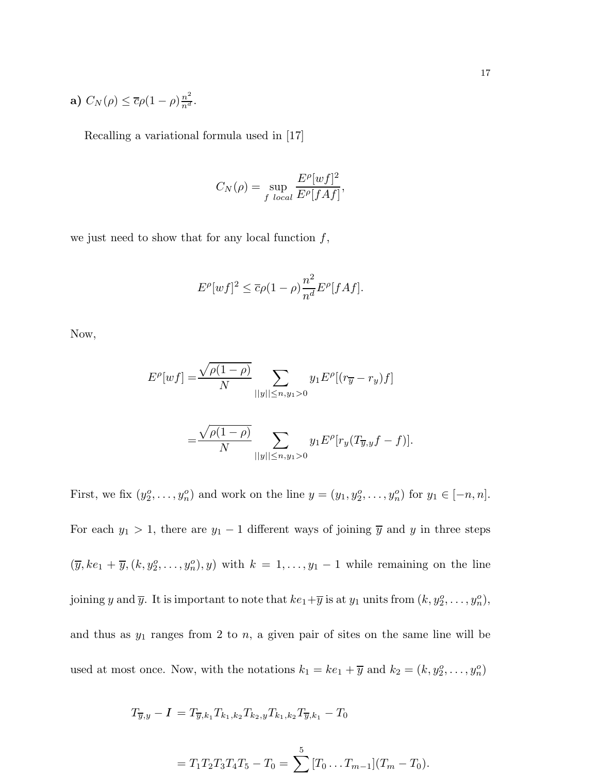a) 
$$
C_N(\rho) \leq \overline{c}\rho (1-\rho) \frac{n^2}{n^d}
$$
.

Recalling a variational formula used in [17]

$$
C_N(\rho) = \sup_{f \text{ local}} \frac{E^{\rho}[wf]^2}{E^{\rho}[fAf]},
$$

we just need to show that for any local function  $f$ ,

$$
E^{\rho}[wf]^2 \leq \overline{c}\rho(1-\rho)\frac{n^2}{n^d}E^{\rho}[fAf].
$$

Now,

$$
E^{\rho}[wf] = \frac{\sqrt{\rho(1-\rho)}}{N} \sum_{||y|| \le n, y_1 > 0} y_1 E^{\rho}[(r_{\overline{y}} - r_y)f]
$$
  
= 
$$
\frac{\sqrt{\rho(1-\rho)}}{N} \sum_{||y|| \le n, y_1 > 0} y_1 E^{\rho}[r_y(T_{\overline{y},y}f - f)].
$$

First, we fix  $(y_2^o, \ldots, y_n^o)$  and work on the line  $y = (y_1, y_2^o, \ldots, y_n^o)$  for  $y_1 \in [-n, n]$ . For each  $y_1 > 1$ , there are  $y_1 - 1$  different ways of joining  $\overline{y}$  and y in three steps  $(\overline{y}, ke_1 + \overline{y}, (k, y_2^o, \ldots, y_n^o), y)$  with  $k = 1, \ldots, y_1 - 1$  while remaining on the line joining y and  $\overline{y}$ . It is important to note that  $ke_1+\overline{y}$  is at  $y_1$  units from  $(k, y_2^o, \ldots, y_n^o)$ , and thus as  $y_1$  ranges from 2 to  $n$ , a given pair of sites on the same line will be used at most once. Now, with the notations  $k_1 = ke_1 + \overline{y}$  and  $k_2 = (k, y_2^o, \ldots, y_n^o)$ 

$$
T_{\overline{y},y} - I = T_{\overline{y},k_1} T_{k_1,k_2} T_{k_2,y} T_{k_1,k_2} T_{\overline{y},k_1} - T_0
$$

$$
= T_1 T_2 T_3 T_4 T_5 - T_0 = \sum_{n=1}^{5} [T_0 \dots T_{m-1}] (T_m - T_0).
$$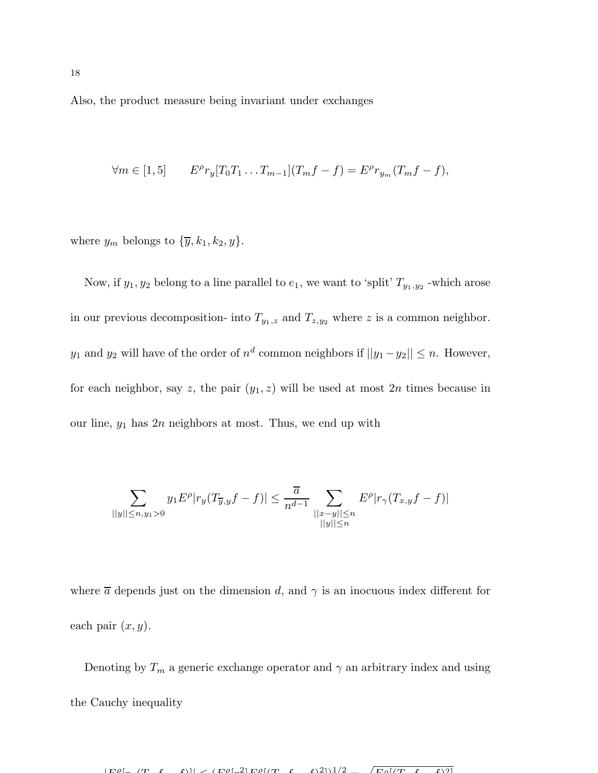Also, the product measure being invariant under exchanges

$$
\forall m \in [1, 5] \qquad E^{\rho} r_y [T_0 T_1 \dots T_{m-1}] (T_m f - f) = E^{\rho} r_{y_m} (T_m f - f),
$$

where  $y_m$  belongs to  $\{\overline{y}, k_1, k_2, y\}.$ 

Now, if  $y_1, y_2$  belong to a line parallel to  $e_1$ , we want to 'split'  $T_{y_1, y_2}$  -which arose in our previous decomposition- into  $T_{y_1,z}$  and  $T_{z,y_2}$  where z is a common neighbor.  $y_1$  and  $y_2$  will have of the order of  $n^d$  common neighbors if  $||y_1 - y_2|| \le n$ . However, for each neighbor, say z, the pair  $(y_1, z)$  will be used at most  $2n$  times because in our line,  $y_1$  has  $2n$  neighbors at most. Thus, we end up with

$$
\sum_{||y|| \le n, y_1 > 0} y_1 E^{\rho} |r_y(T_{\overline{y},y}f - f)| \le \frac{\overline{a}}{n^{d-1}} \sum_{\substack{||x - y|| \le n \\ ||y|| \le n}} E^{\rho} |r_\gamma(T_{x,y}f - f)|
$$

where  $\bar{a}$  depends just on the dimension d, and  $\gamma$  is an inocuous index different for each pair  $(x, y)$ .

Denoting by  $T_m$  a generic exchange operator and  $\gamma$  an arbitrary index and using the Cauchy inequality

 $\Box$ ρ  $\left[\frac{1}{\pi}(\tau - f - f)]\right] \geq \left(\frac{\pi \rho \left[\frac{2}{\pi}\right] \Gamma \rho f}{\tau} + \frac{f}{2}\right) \frac{2}{\pi^2}$  $\sqrt{E_0[(T-f_1)]}$  $21$ .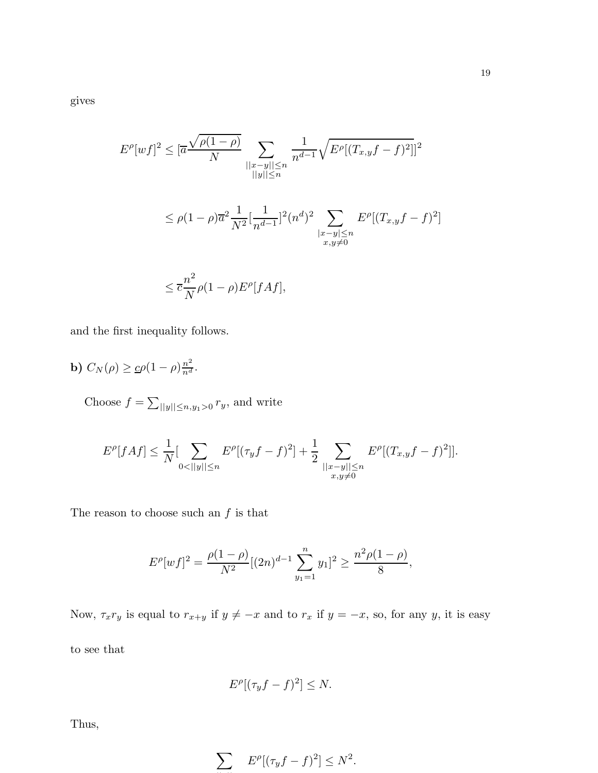gives

$$
E^{\rho}[wf]^2 \leq [\overline{a} \frac{\sqrt{\rho(1-\rho)}}{N} \sum_{\substack{||x-y|| \leq n \\ ||y|| \leq n}} \frac{1}{n^{d-1}} \sqrt{E^{\rho}[(T_{x,y}f - f)^2]]^2}
$$
  

$$
\leq \rho(1-\rho)\overline{a}^2 \frac{1}{N^2} [\frac{1}{n^{d-1}}]^2 (n^d)^2 \sum_{\substack{||x-y|| \leq n \\ x,y \neq 0}} E^{\rho}[(T_{x,y}f - f)^2]
$$
  

$$
\leq \overline{c} \frac{n^2}{N} \rho(1-\rho) E^{\rho}[fAf],
$$

and the first inequality follows.

$$
\mathbf{b})\ C_N(\rho) \geq \underline{c}\rho(1-\rho)\frac{n^2}{n^d}.
$$

Choose  $f = \sum_{\vert \vert y \vert \vert \leq n, y_1 > 0} r_y$ , and write

$$
E^{\rho}[fAf] \leq \frac{1}{N} \left[ \sum_{0 < ||y|| \leq n} E^{\rho} [(\tau_y f - f)^2] + \frac{1}{2} \sum_{\substack{||x-y|| \leq n \\ x, y \neq 0}} E^{\rho} [(T_{x,y} f - f)^2] \right].
$$

The reason to choose such an  $f$  is that

$$
E^{\rho}[wf]^2 = \frac{\rho(1-\rho)}{N^2}[(2n)^{d-1}\sum_{y_1=1}^n y_1]^2 \ge \frac{n^2\rho(1-\rho)}{8},
$$

Now,  $\tau_x r_y$  is equal to  $r_{x+y}$  if  $y \neq -x$  and to  $r_x$  if  $y = -x$ , so, for any y, it is easy

to see that

$$
E^{\rho}[(\tau_y f - f)^2] \leq N.
$$

Thus,

$$
\sum E^{\rho}[(\tau_y f - f)^2] \le N^2.
$$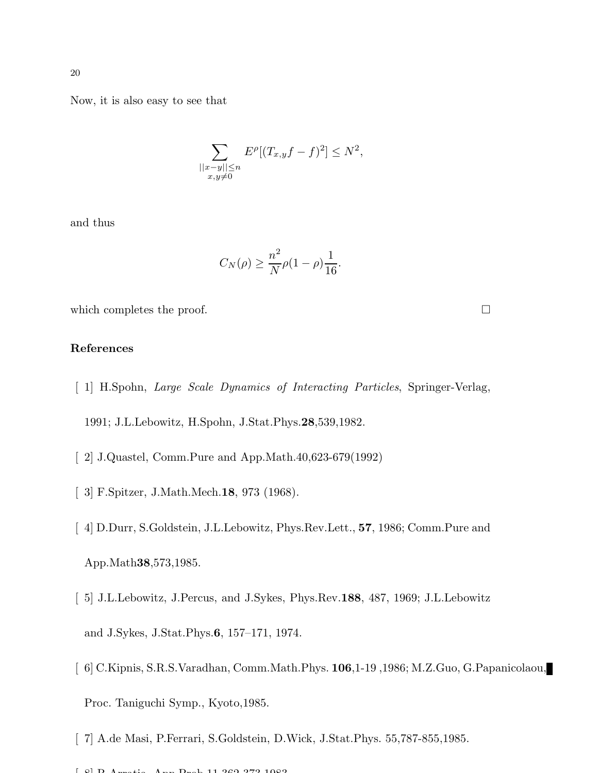Now, it is also easy to see that

$$
\sum_{\substack{||x-y|| \le n \\ x,y \neq 0}} E^{\rho} [(T_{x,y}f - f)^{2}] \le N^{2},
$$

and thus

$$
C_N(\rho) \ge \frac{n^2}{N}\rho(1-\rho)\frac{1}{16}.
$$

which completes the proof.  $\Box$ 

App.Math38,573,1985.

# References

- [ 1] H.Spohn, Large Scale Dynamics of Interacting Particles, Springer-Verlag, 1991; J.L.Lebowitz, H.Spohn, J.Stat.Phys.28,539,1982.
- [ 2] J.Quastel, Comm.Pure and App.Math.40,623-679(1992)
- [ 3] F.Spitzer, J.Math.Mech.18, 973 (1968).
- [ 4] D.Durr, S.Goldstein, J.L.Lebowitz, Phys.Rev.Lett., 57, 1986; Comm.Pure and
- [ 5] J.L.Lebowitz, J.Percus, and J.Sykes, Phys.Rev.188, 487, 1969; J.L.Lebowitz and J.Sykes, J.Stat.Phys.6, 157–171, 1974.
- [ 6] C.Kipnis, S.R.S.Varadhan, Comm.Math.Phys. 106,1-19 ,1986; M.Z.Guo, G.Papanicolaou, Proc. Taniguchi Symp., Kyoto,1985.
- [ 7] A.de Masi, P.Ferrari, S.Goldstein, D.Wick, J.Stat.Phys. 55,787-855,1985.

 $[$  6]  $R_{max}$   $($   $)$   $($   $)$   $($   $)$   $($   $)$   $($   $)$   $($   $)$   $($   $)$   $($   $)$   $($   $)$   $($   $)$   $($   $)$   $($   $)$   $($   $)$   $($   $)$   $($   $)$   $($   $)$   $($   $)$   $($   $)$   $($   $)$   $($   $)$   $($   $)$   $($   $)$   $($   $)$   $($   $)$   $($   $)$   $($   $)$ 

20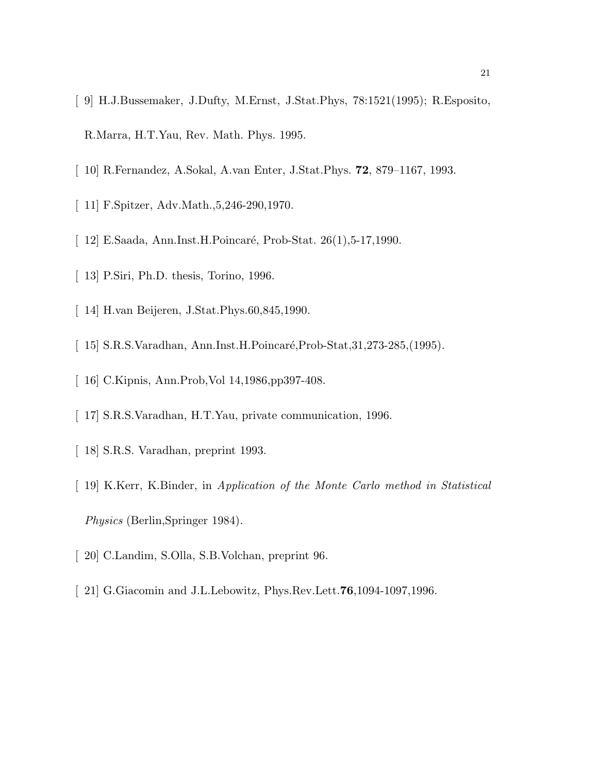- [ 9] H.J.Bussemaker, J.Dufty, M.Ernst, J.Stat.Phys, 78:1521(1995); R.Esposito, R.Marra, H.T.Yau, Rev. Math. Phys. 1995.
- [ 10] R.Fernandez, A.Sokal, A.van Enter, J.Stat.Phys. 72, 879–1167, 1993.
- [ 11] F.Spitzer, Adv.Math., 5, 246-290, 1970.
- [ 12] E.Saada, Ann.Inst.H.Poincaré, Prob-Stat. 26(1),5-17,1990.
- [ 13] P.Siri, Ph.D. thesis, Torino, 1996.
- [ 14] H.van Beijeren, J.Stat.Phys.60,845,1990.
- $\lceil 15 \rceil$  S.R.S.Varadhan, Ann.Inst.H.Poincaré,Prob-Stat,31,273-285,(1995).
- [ 16] C.Kipnis, Ann.Prob,Vol 14,1986,pp397-408.
- [ 17] S.R.S.Varadhan, H.T.Yau, private communication, 1996.
- [ 18] S.R.S. Varadhan, preprint 1993.
- [ 19] K.Kerr, K.Binder, in Application of the Monte Carlo method in Statistical Physics (Berlin,Springer 1984).
- [ 20] C.Landim, S.Olla, S.B.Volchan, preprint 96.
- [ 21] G.Giacomin and J.L.Lebowitz, Phys.Rev.Lett.76,1094-1097,1996.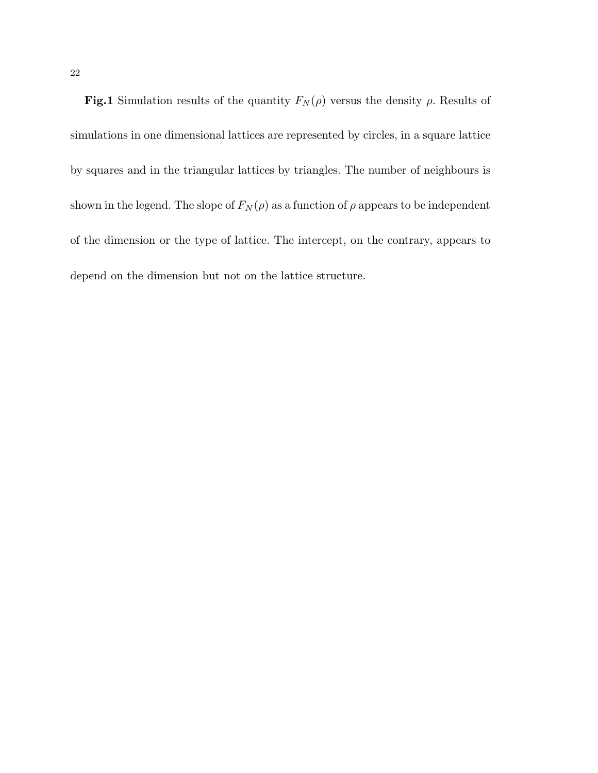Fig.1 Simulation results of the quantity  $F_N(\rho)$  versus the density  $\rho$ . Results of simulations in one dimensional lattices are represented by circles, in a square lattice by squares and in the triangular lattices by triangles. The number of neighbours is shown in the legend. The slope of  $F_N(\rho)$  as a function of  $\rho$  appears to be independent of the dimension or the type of lattice. The intercept, on the contrary, appears to depend on the dimension but not on the lattice structure.